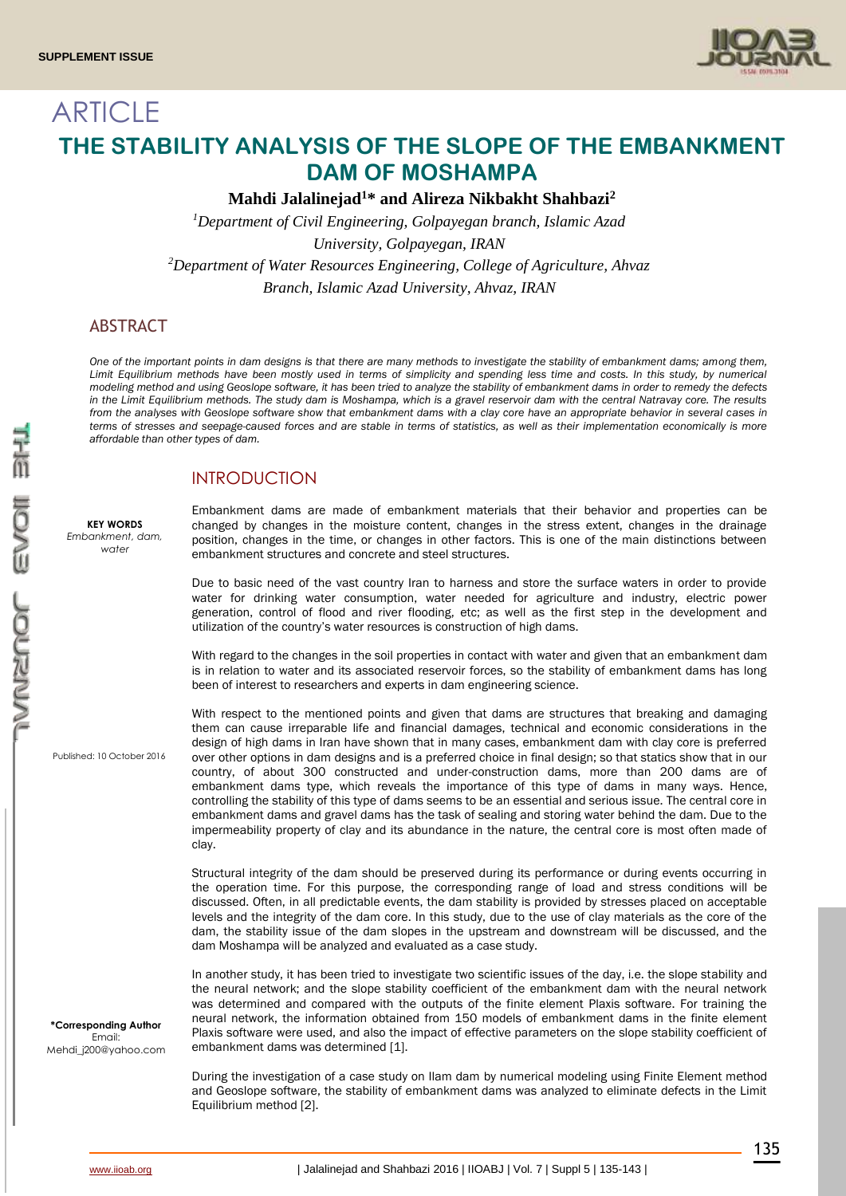

# **ARTICLE THE STABILITY ANALYSIS OF THE SLOPE OF THE EMBANKMENT DAM OF MOSHAMPA**

**Mahdi Jalalinejad<sup>1</sup>\* and Alireza Nikbakht Shahbazi<sup>2</sup>**

*<sup>1</sup>Department of Civil Engineering, Golpayegan branch, Islamic Azad University, Golpayegan, IRAN <sup>2</sup>Department of Water Resources Engineering, College of Agriculture, Ahvaz Branch, Islamic Azad University, Ahvaz, IRAN*

# ABSTRACT

*One of the important points in dam designs is that there are many methods to investigate the stability of embankment dams; among them, Limit Equilibrium methods have been mostly used in terms of simplicity and spending less time and costs. In this study, by numerical modeling method and using Geoslope software, it has been tried to analyze the stability of embankment dams in order to remedy the defects in the Limit Equilibrium methods. The study dam is Moshampa, which is a gravel reservoir dam with the central Natravay core. The results from the analyses with Geoslope software show that embankment dams with a clay core have an appropriate behavior in several cases in terms of stresses and seepage-caused forces and are stable in terms of statistics, as well as their implementation economically is more affordable than other types of dam.*

# INTRODUCTION

**KEY WORDS** *Embankment, dam, water*

Embankment dams are made of embankment materials that their behavior and properties can be changed by changes in the moisture content, changes in the stress extent, changes in the drainage position, changes in the time, or changes in other factors. This is one of the main distinctions between embankment structures and concrete and steel structures.

Due to basic need of the vast country Iran to harness and store the surface waters in order to provide water for drinking water consumption, water needed for agriculture and industry, electric power generation, control of flood and river flooding, etc; as well as the first step in the development and utilization of the country's water resources is construction of high dams.

With regard to the changes in the soil properties in contact with water and given that an embankment dam is in relation to water and its associated reservoir forces, so the stability of embankment dams has long been of interest to researchers and experts in dam engineering science.

Published: 10 October 2016

**\*Corresponding Author** Email: Mehdi\_j200@yahoo.com With respect to the mentioned points and given that dams are structures that breaking and damaging them can cause irreparable life and financial damages, technical and economic considerations in the design of high dams in Iran have shown that in many cases, embankment dam with clay core is preferred over other options in dam designs and is a preferred choice in final design; so that statics show that in our country, of about 300 constructed and under-construction dams, more than 200 dams are of embankment dams type, which reveals the importance of this type of dams in many ways. Hence, controlling the stability of this type of dams seems to be an essential and serious issue. The central core in embankment dams and gravel dams has the task of sealing and storing water behind the dam. Due to the impermeability property of clay and its abundance in the nature, the central core is most often made of clay.

Structural integrity of the dam should be preserved during its performance or during events occurring in the operation time. For this purpose, the corresponding range of load and stress conditions will be discussed. Often, in all predictable events, the dam stability is provided by stresses placed on acceptable levels and the integrity of the dam core. In this study, due to the use of clay materials as the core of the dam, the stability issue of the dam slopes in the upstream and downstream will be discussed, and the dam Moshampa will be analyzed and evaluated as a case study.

In another study, it has been tried to investigate two scientific issues of the day, i.e. the slope stability and the neural network; and the slope stability coefficient of the embankment dam with the neural network was determined and compared with the outputs of the finite element Plaxis software. For training the neural network, the information obtained from 150 models of embankment dams in the finite element Plaxis software were used, and also the impact of effective parameters on the slope stability coefficient of embankment dams was determined [1].

During the investigation of a case study on Ilam dam by numerical modeling using Finite Element method and Geoslope software, the stability of embankment dams was analyzed to eliminate defects in the Limit Equilibrium method [2].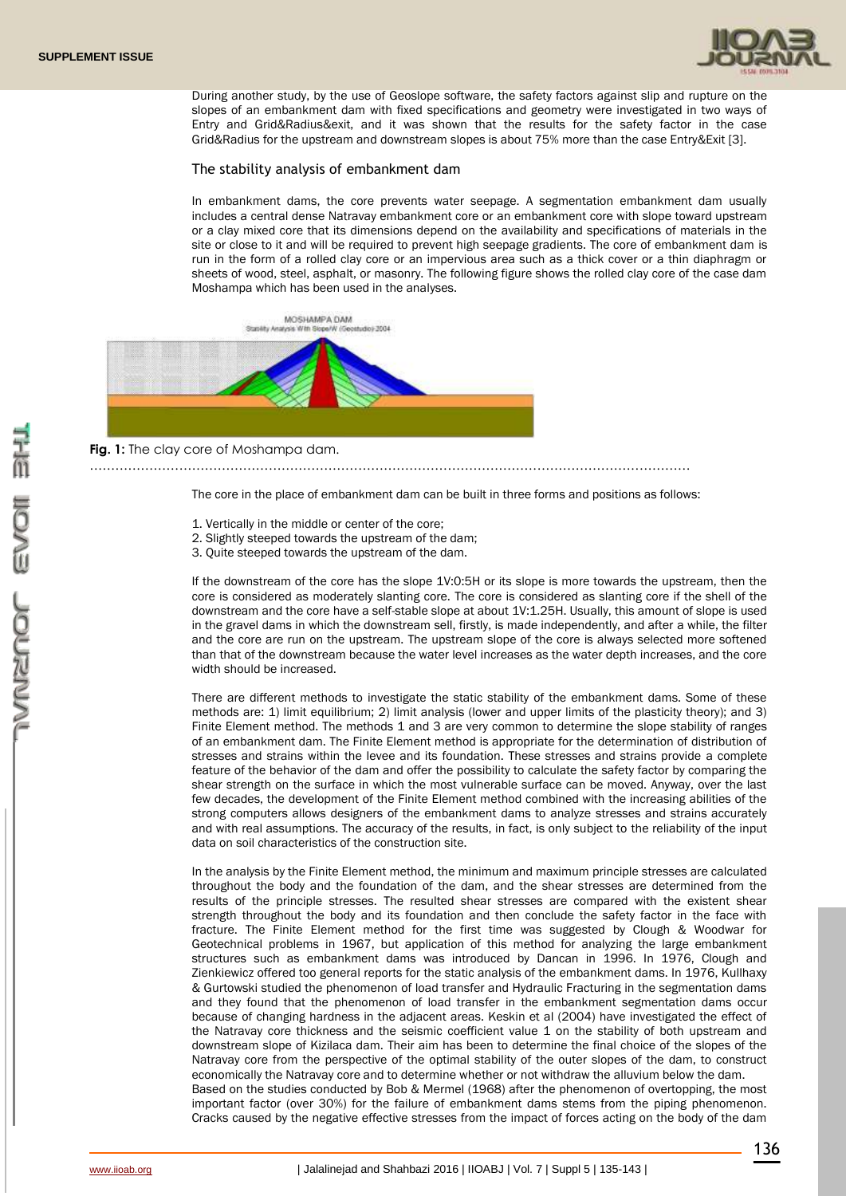

During another study, by the use of Geoslope software, the safety factors against slip and rupture on the slopes of an embankment dam with fixed specifications and geometry were investigated in two ways of Entry and Grid&Radius&exit, and it was shown that the results for the safety factor in the case Grid&Radius for the upstream and downstream slopes is about 75% more than the case Entry&Exit [3].

#### The stability analysis of embankment dam

In embankment dams, the core prevents water seepage. A segmentation embankment dam usually includes a central dense Natravay embankment core or an embankment core with slope toward upstream or a clay mixed core that its dimensions depend on the availability and specifications of materials in the site or close to it and will be required to prevent high seepage gradients. The core of embankment dam is run in the form of a rolled clay core or an impervious area such as a thick cover or a thin diaphragm or sheets of wood, steel, asphalt, or masonry. The following figure shows the rolled clay core of the case dam Moshampa which has been used in the analyses.



……………………………………………………………………………………………………………………………

The core in the place of embankment dam can be built in three forms and positions as follows:

- 1. Vertically in the middle or center of the core;
- 2. Slightly steeped towards the upstream of the dam;
- 3. Quite steeped towards the upstream of the dam.

If the downstream of the core has the slope 1V:0:5H or its slope is more towards the upstream, then the core is considered as moderately slanting core. The core is considered as slanting core if the shell of the downstream and the core have a self-stable slope at about 1V:1.25H. Usually, this amount of slope is used in the gravel dams in which the downstream sell, firstly, is made independently, and after a while, the filter and the core are run on the upstream. The upstream slope of the core is always selected more softened than that of the downstream because the water level increases as the water depth increases, and the core width should be increased.

There are different methods to investigate the static stability of the embankment dams. Some of these methods are: 1) limit equilibrium; 2) limit analysis (lower and upper limits of the plasticity theory); and 3) Finite Element method. The methods 1 and 3 are very common to determine the slope stability of ranges of an embankment dam. The Finite Element method is appropriate for the determination of distribution of stresses and strains within the levee and its foundation. These stresses and strains provide a complete feature of the behavior of the dam and offer the possibility to calculate the safety factor by comparing the shear strength on the surface in which the most vulnerable surface can be moved. Anyway, over the last few decades, the development of the Finite Element method combined with the increasing abilities of the strong computers allows designers of the embankment dams to analyze stresses and strains accurately and with real assumptions. The accuracy of the results, in fact, is only subject to the reliability of the input data on soil characteristics of the construction site.

In the analysis by the Finite Element method, the minimum and maximum principle stresses are calculated throughout the body and the foundation of the dam, and the shear stresses are determined from the results of the principle stresses. The resulted shear stresses are compared with the existent shear strength throughout the body and its foundation and then conclude the safety factor in the face with fracture. The Finite Element method for the first time was suggested by Clough & Woodwar for Geotechnical problems in 1967, but application of this method for analyzing the large embankment structures such as embankment dams was introduced by Dancan in 1996. In 1976, Clough and Zienkiewicz offered too general reports for the static analysis of the embankment dams. In 1976, Kullhaxy & Gurtowski studied the phenomenon of load transfer and Hydraulic Fracturing in the segmentation dams and they found that the phenomenon of load transfer in the embankment segmentation dams occur because of changing hardness in the adjacent areas. Keskin et al (2004) have investigated the effect of the Natravay core thickness and the seismic coefficient value 1 on the stability of both upstream and downstream slope of Kizilaca dam. Their aim has been to determine the final choice of the slopes of the Natravay core from the perspective of the optimal stability of the outer slopes of the dam, to construct economically the Natravay core and to determine whether or not withdraw the alluvium below the dam. Based on the studies conducted by Bob & Mermel (1968) after the phenomenon of overtopping, the most important factor (over 30%) for the failure of embankment dams stems from the piping phenomenon. Cracks caused by the negative effective stresses from the impact of forces acting on the body of the dam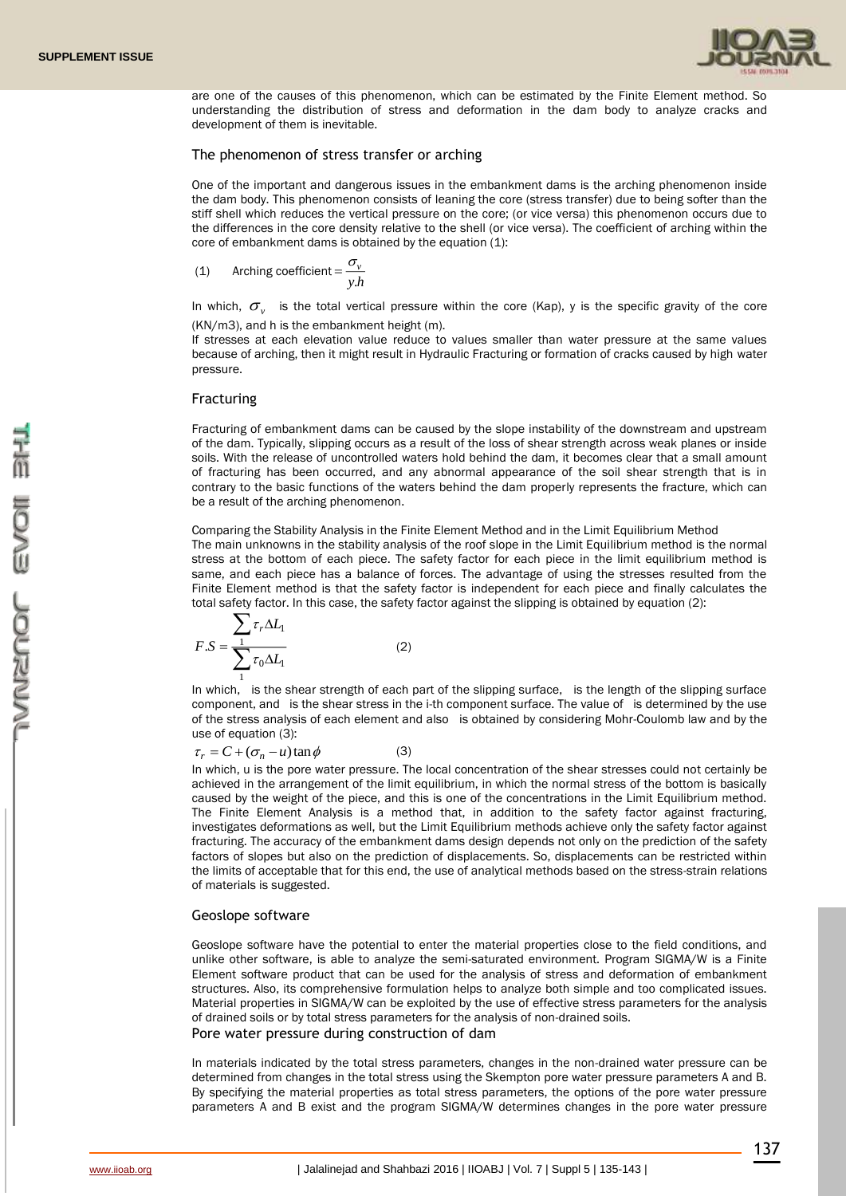

are one of the causes of this phenomenon, which can be estimated by the Finite Element method. So understanding the distribution of stress and deformation in the dam body to analyze cracks and development of them is inevitable.

#### The phenomenon of stress transfer or arching

One of the important and dangerous issues in the embankment dams is the arching phenomenon inside the dam body. This phenomenon consists of leaning the core (stress transfer) due to being softer than the stiff shell which reduces the vertical pressure on the core; (or vice versa) this phenomenon occurs due to the differences in the core density relative to the shell (or vice versa). The coefficient of arching within the core of embankment dams is obtained by the equation (1):

(1) Arching coefficient = 
$$
\frac{\sigma_v}{y.h}
$$

In which,  $\sigma_{v}$  is the total vertical pressure within the core (Kap), y is the specific gravity of the core (KN/m3), and h is the embankment height (m).

If stresses at each elevation value reduce to values smaller than water pressure at the same values because of arching, then it might result in Hydraulic Fracturing or formation of cracks caused by high water pressure.

#### Fracturing

Fracturing of embankment dams can be caused by the slope instability of the downstream and upstream of the dam. Typically, slipping occurs as a result of the loss of shear strength across weak planes or inside soils. With the release of uncontrolled waters hold behind the dam, it becomes clear that a small amount of fracturing has been occurred, and any abnormal appearance of the soil shear strength that is in contrary to the basic functions of the waters behind the dam properly represents the fracture, which can be a result of the arching phenomenon.

Comparing the Stability Analysis in the Finite Element Method and in the Limit Equilibrium Method The main unknowns in the stability analysis of the roof slope in the Limit Equilibrium method is the normal stress at the bottom of each piece. The safety factor for each piece in the limit equilibrium method is same, and each piece has a balance of forces. The advantage of using the stresses resulted from the Finite Element method is that the safety factor is independent for each piece and finally calculates the total safety factor. In this case, the safety factor against the slipping is obtained by equation (2):

$$
F.S = \frac{\sum_{1} \tau_r \Delta L_1}{\sum_{1} \tau_0 \Delta L_1}
$$
 (2)

In which, is the shear strength of each part of the slipping surface, is the length of the slipping surface component, and is the shear stress in the i-th component surface. The value of is determined by the use of the stress analysis of each element and also is obtained by considering Mohr-Coulomb law and by the use of equation (3):

 $\tau_r = C + (\sigma_n - u) \tan \phi$ (3)

In which, u is the pore water pressure. The local concentration of the shear stresses could not certainly be achieved in the arrangement of the limit equilibrium, in which the normal stress of the bottom is basically caused by the weight of the piece, and this is one of the concentrations in the Limit Equilibrium method. The Finite Element Analysis is a method that, in addition to the safety factor against fracturing, investigates deformations as well, but the Limit Equilibrium methods achieve only the safety factor against fracturing. The accuracy of the embankment dams design depends not only on the prediction of the safety factors of slopes but also on the prediction of displacements. So, displacements can be restricted within the limits of acceptable that for this end, the use of analytical methods based on the stress-strain relations of materials is suggested.

#### Geoslope software

Geoslope software have the potential to enter the material properties close to the field conditions, and unlike other software, is able to analyze the semi-saturated environment. Program SIGMA/W is a Finite Element software product that can be used for the analysis of stress and deformation of embankment structures. Also, its comprehensive formulation helps to analyze both simple and too complicated issues. Material properties in SIGMA/W can be exploited by the use of effective stress parameters for the analysis of drained soils or by total stress parameters for the analysis of non-drained soils. Pore water pressure during construction of dam

In materials indicated by the total stress parameters, changes in the non-drained water pressure can be determined from changes in the total stress using the Skempton pore water pressure parameters A and B. By specifying the material properties as total stress parameters, the options of the pore water pressure parameters A and B exist and the program SIGMA/W determines changes in the pore water pressure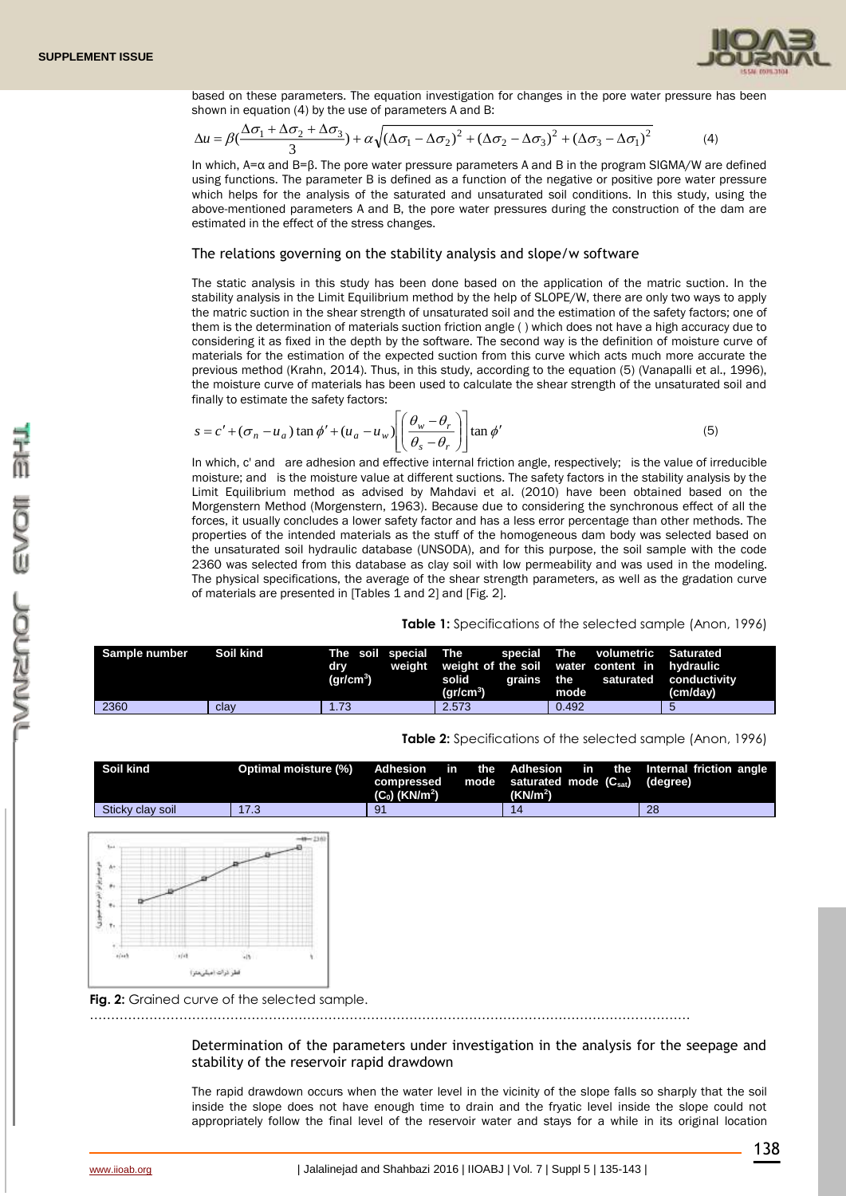

based on these parameters. The equation investigation for changes in the pore water pressure has been shown in equation (4) by the use of parameters A and B:

$$
\Delta u = \beta \left( \frac{\Delta \sigma_1 + \Delta \sigma_2 + \Delta \sigma_3}{3} \right) + \alpha \sqrt{\left( \Delta \sigma_1 - \Delta \sigma_2 \right)^2 + \left( \Delta \sigma_2 - \Delta \sigma_3 \right)^2 + \left( \Delta \sigma_3 - \Delta \sigma_1 \right)^2}
$$
(4)

In which, A=α and B=β. The pore water pressure parameters A and B in the program SIGMA/W are defined using functions. The parameter B is defined as a function of the negative or positive pore water pressure which helps for the analysis of the saturated and unsaturated soil conditions. In this study, using the above-mentioned parameters A and B, the pore water pressures during the construction of the dam are estimated in the effect of the stress changes.

#### The relations governing on the stability analysis and slope/w software

The static analysis in this study has been done based on the application of the matric suction. In the stability analysis in the Limit Equilibrium method by the help of SLOPE/W, there are only two ways to apply the matric suction in the shear strength of unsaturated soil and the estimation of the safety factors; one of them is the determination of materials suction friction angle ( ) which does not have a high accuracy due to considering it as fixed in the depth by the software. The second way is the definition of moisture curve of materials for the estimation of the expected suction from this curve which acts much more accurate the previous method (Krahn, 2014). Thus, in this study, according to the equation (5) (Vanapalli et al., 1996), the moisture curve of materials has been used to calculate the shear strength of the unsaturated soil and finally to estimate the safety factors:

$$
s = c' + (\sigma_n - u_a) \tan \phi' + (u_a - u_w) \left[ \left( \frac{\theta_w - \theta_r}{\theta_s - \theta_r} \right) \right] \tan \phi'
$$
 (5)

In which, c' and are adhesion and effective internal friction angle, respectively; is the value of irreducible moisture; and is the moisture value at different suctions. The safety factors in the stability analysis by the Limit Equilibrium method as advised by Mahdavi et al. (2010) have been obtained based on the Morgenstern Method (Morgenstern, 1963). Because due to considering the synchronous effect of all the forces, it usually concludes a lower safety factor and has a less error percentage than other methods. The properties of the intended materials as the stuff of the homogeneous dam body was selected based on the unsaturated soil hydraulic database (UNSODA), and for this purpose, the soil sample with the code 2360 was selected from this database as clay soil with low permeability and was used in the modeling. The physical specifications, the average of the shear strength parameters, as well as the gradation curve of materials are presented in [Tables 1 and 2] and [Fig. 2].

#### **Table 1:** Specifications of the selected sample (Anon, 1996)

| Sample number | Soil kind | dry<br>$(\text{qr/cm}^3)$ | solid<br>$\rm (gr/cm^3)$ | The soil special The special The volumetric Saturated<br>weight weight of the soil water content in hydraulic<br>grains the saturated conductivity<br>mode | (cm/dav) |
|---------------|-----------|---------------------------|--------------------------|------------------------------------------------------------------------------------------------------------------------------------------------------------|----------|
| 2360          | clav      | 1.73                      | 2.573                    | 0.492                                                                                                                                                      |          |

#### **Table 2:** Specifications of the selected sample (Anon, 1996)

| Soil kind                                                                       | Optimal moisture (%) | <b>Adhesion</b><br>in<br>compressed<br>$(C_0)$ (KN/m <sup>2</sup> ) | the<br>mode | <b>Adhesion</b><br>in<br>saturated mode (Csat)<br>(KN/m <sup>2</sup> ) | Internal friction angle<br>the<br>(degree) |
|---------------------------------------------------------------------------------|----------------------|---------------------------------------------------------------------|-------------|------------------------------------------------------------------------|--------------------------------------------|
| Sticky clay soil                                                                | 17.3                 | 91                                                                  |             | 14                                                                     | 28                                         |
| $1 - 4$<br>Ar<br>$\ddot{\phantom{1}}$<br>$+1$<br>T <sub>1</sub><br>adian<br>(4) | $-48 - 236$          |                                                                     |             |                                                                        |                                            |
|                                                                                 | فطر ذرات (مبلي متر)  |                                                                     |             |                                                                        |                                            |

Determination of the parameters under investigation in the analysis for the seepage and

stability of the reservoir rapid drawdown

The rapid drawdown occurs when the water level in the vicinity of the slope falls so sharply that the soil inside the slope does not have enough time to drain and the fryatic level inside the slope could not appropriately follow the final level of the reservoir water and stays for a while in its original location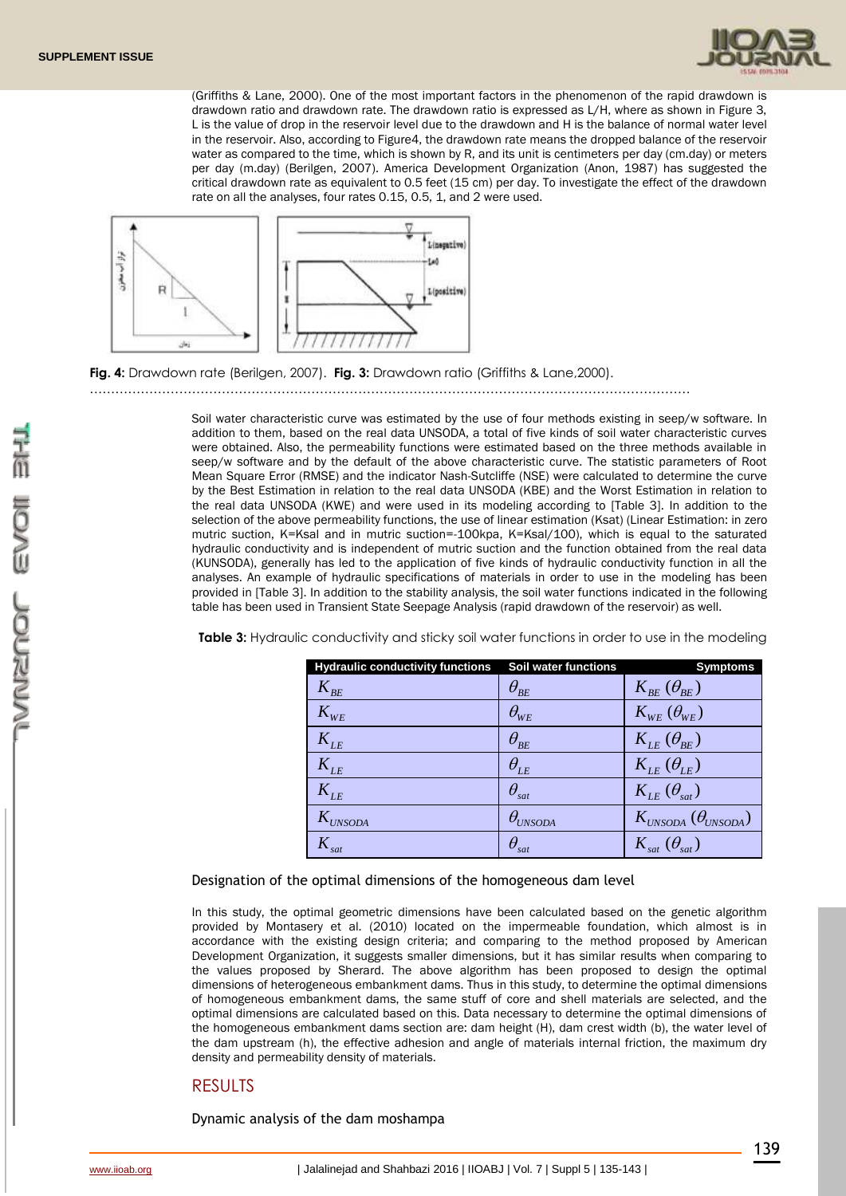

(Griffiths & Lane, 2000). One of the most important factors in the phenomenon of the rapid drawdown is drawdown ratio and drawdown rate. The drawdown ratio is expressed as L/H, where as shown in Figure 3, L is the value of drop in the reservoir level due to the drawdown and H is the balance of normal water level in the reservoir. Also, according to Figure4, the drawdown rate means the dropped balance of the reservoir water as compared to the time, which is shown by R, and its unit is centimeters per day (cm.day) or meters per day (m.day) (Berilgen, 2007). America Development Organization (Anon, 1987) has suggested the critical drawdown rate as equivalent to 0.5 feet (15 cm) per day. To investigate the effect of the drawdown rate on all the analyses, four rates 0.15, 0.5, 1, and 2 were used.



**Fig. 4:** Drawdown rate (Berilgen, 2007). **Fig. 3:** Drawdown ratio (Griffiths & Lane,2000).

……………………………………………………………………………………………………………………………

Soil water characteristic curve was estimated by the use of four methods existing in seep/w software. In addition to them, based on the real data UNSODA, a total of five kinds of soil water characteristic curves were obtained. Also, the permeability functions were estimated based on the three methods available in seep/w software and by the default of the above characteristic curve. The statistic parameters of Root Mean Square Error (RMSE) and the indicator Nash-Sutcliffe (NSE) were calculated to determine the curve by the Best Estimation in relation to the real data UNSODA (KBE) and the Worst Estimation in relation to the real data UNSODA (KWE) and were used in its modeling according to [Table 3]. In addition to the selection of the above permeability functions, the use of linear estimation (Ksat) (Linear Estimation: in zero mutric suction, K=Ksal and in mutric suction=-100kpa, K=Ksal/100), which is equal to the saturated hydraulic conductivity and is independent of mutric suction and the function obtained from the real data (KUNSODA), generally has led to the application of five kinds of hydraulic conductivity function in all the analyses. An example of hydraulic specifications of materials in order to use in the modeling has been provided in [Table 3]. In addition to the stability analysis, the soil water functions indicated in the following table has been used in Transient State Seepage Analysis (rapid drawdown of the reservoir) as well.

| <b>Hydraulic conductivity functions</b> | Soil water functions                  | <b>Symptoms</b>                    |
|-----------------------------------------|---------------------------------------|------------------------------------|
| $K_{BE}$                                | $\theta_{_{BE}}$                      | $K_{BE}(\theta_{BE})$              |
| $K_{WE}$                                | $\theta_{\scriptscriptstyle{WE}}$     | $K_{WE}(\theta_{WE})$              |
| $K_{LE}$                                | $\theta_{BE}$                         | $K_{LE}(\theta_{BE})$              |
| $K_{LE}$                                | $\theta_{LE}$                         | $K_{LE}(\theta_{LE})$              |
| $K_{LE}$                                | $\theta_{\rm sat}$                    | $K_{LE}(\theta_{sat})$             |
| $K_{UNSODA}$                            | $\theta_{\scriptscriptstyle{UNSODA}}$ | $K_{UNSODA}$ ( $\theta_{UNSODA}$ ) |
| $K_{\;\scriptscriptstyle sat}$          | $\theta_{\rm sat}$                    | $K_{\rm sat}$ $(\theta_{\rm sat})$ |

**Table 3:** Hydraulic conductivity and sticky soil water functions in order to use in the modeling

Designation of the optimal dimensions of the homogeneous dam level

In this study, the optimal geometric dimensions have been calculated based on the genetic algorithm provided by Montasery et al. (2010) located on the impermeable foundation, which almost is in accordance with the existing design criteria; and comparing to the method proposed by American Development Organization, it suggests smaller dimensions, but it has similar results when comparing to the values proposed by Sherard. The above algorithm has been proposed to design the optimal dimensions of heterogeneous embankment dams. Thus in this study, to determine the optimal dimensions of homogeneous embankment dams, the same stuff of core and shell materials are selected, and the optimal dimensions are calculated based on this. Data necessary to determine the optimal dimensions of the homogeneous embankment dams section are: dam height (H), dam crest width (b), the water level of the dam upstream (h), the effective adhesion and angle of materials internal friction, the maximum dry density and permeability density of materials.

# RESULTS

Dynamic analysis of the dam moshampa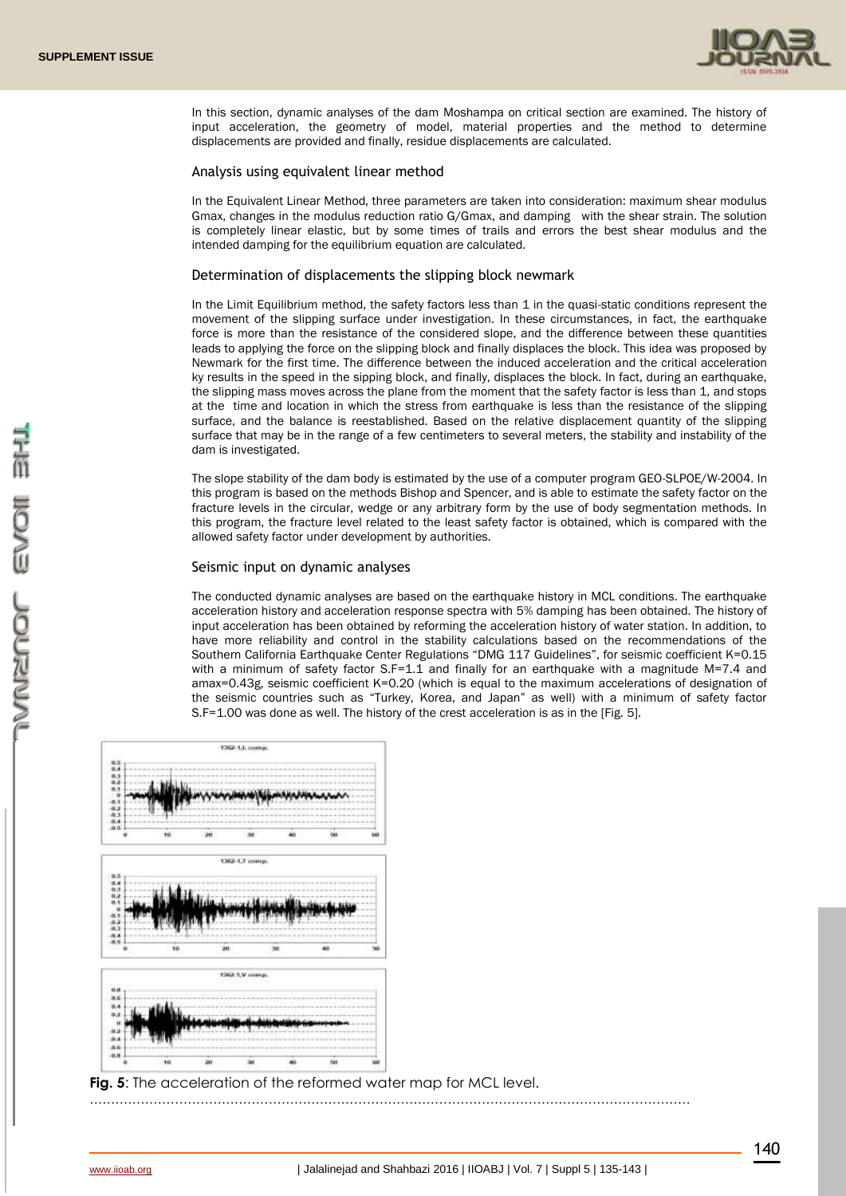

In this section, dynamic analyses of the dam Moshampa on critical section are examined. The history of input acceleration, the geometry of model, material properties and the method to determine displacements are provided and finally, residue displacements are calculated.

#### Analysis using equivalent linear method

In the Equivalent Linear Method, three parameters are taken into consideration: maximum shear modulus Gmax, changes in the modulus reduction ratio G/Gmax, and damping with the shear strain. The solution is completely linear elastic, but by some times of trails and errors the best shear modulus and the intended damping for the equilibrium equation are calculated.

#### Determination of displacements the slipping block newmark

In the Limit Equilibrium method, the safety factors less than 1 in the quasi-static conditions represent the movement of the slipping surface under investigation. In these circumstances, in fact, the earthquake force is more than the resistance of the considered slope, and the difference between these quantities leads to applying the force on the slipping block and finally displaces the block. This idea was proposed by Newmark for the first time. The difference between the induced acceleration and the critical acceleration ky results in the speed in the sipping block, and finally, displaces the block. In fact, during an earthquake, the slipping mass moves across the plane from the moment that the safety factor is less than 1, and stops at the time and location in which the stress from earthquake is less than the resistance of the slipping surface, and the balance is reestablished. Based on the relative displacement quantity of the slipping surface that may be in the range of a few centimeters to several meters, the stability and instability of the dam is investigated.

The slope stability of the dam body is estimated by the use of a computer program GEO-SLPOE/W-2004. In this program is based on the methods Bishop and Spencer, and is able to estimate the safety factor on the fracture levels in the circular, wedge or any arbitrary form by the use of body segmentation methods. In this program, the fracture level related to the least safety factor is obtained, which is compared with the allowed safety factor under development by authorities.

#### Seismic input on dynamic analyses

The conducted dynamic analyses are based on the earthquake history in MCL conditions. The earthquake acceleration history and acceleration response spectra with 5% damping has been obtained. The history of input acceleration has been obtained by reforming the acceleration history of water station. In addition, to have more reliability and control in the stability calculations based on the recommendations of the Southern California Earthquake Center Regulations "DMG 117 Guidelines", for seismic coefficient K=0.15 with a minimum of safety factor S.F=1.1 and finally for an earthquake with a magnitude M=7.4 and amax=0.43g, seismic coefficient K=0.20 (which is equal to the maximum accelerations of designation of the seismic countries such as "Turkey, Korea, and Japan" as well) with a minimum of safety factor S.F=1.00 was done as well. The history of the crest acceleration is as in the [Fig. 5].



**Fig. 5:** The acceleration of the reformed water map for MCL level.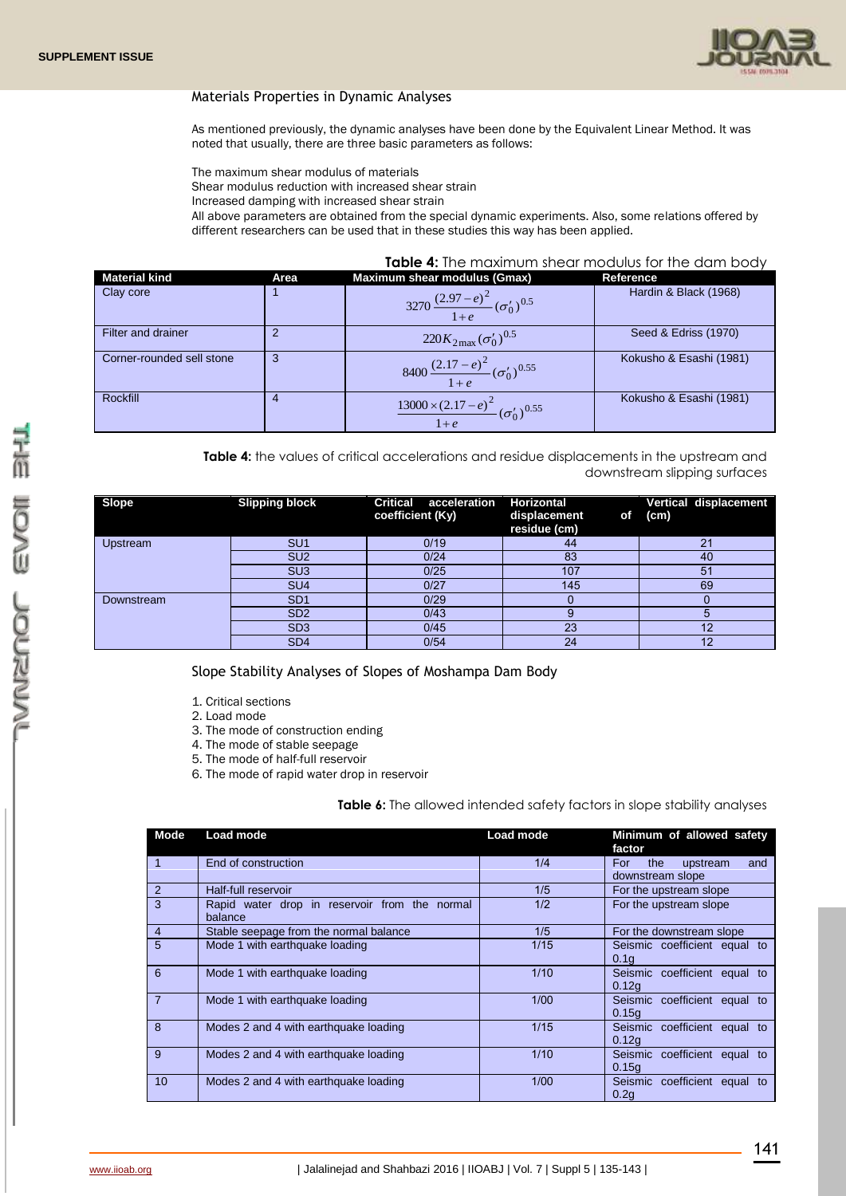

## Materials Properties in Dynamic Analyses

As mentioned previously, the dynamic analyses have been done by the Equivalent Linear Method. It was noted that usually, there are three basic parameters as follows:

The maximum shear modulus of materials

Shear modulus reduction with increased shear strain

Increased damping with increased shear strain

All above parameters are obtained from the special dynamic experiments. Also, some relations offered by different researchers can be used that in these studies this way has been applied.

### **Table 4:** The maximum shear modulus for the dam body

| <b>Material kind</b>      | Area | <b>Maximum shear modulus (Gmax)</b>                                | Reference               |
|---------------------------|------|--------------------------------------------------------------------|-------------------------|
| Clay core                 |      | 3270 $\frac{(2.97-e)^2}{1+e} (\sigma'_0)^{0.5}$                    | Hardin & Black (1968)   |
| Filter and drainer        |      | $220K_{2\text{max}}(\sigma_0')^{0.5}$                              | Seed & Edriss (1970)    |
| Corner-rounded sell stone |      | 8400 $\frac{(2.17-e)^2}{1+e} (\sigma'_0)^{0.55}$                   | Kokusho & Esashi (1981) |
| Rockfill                  | 4    | $\frac{13000\times(2.17-e)^2}{(0.060)}(\sigma'_0)^{0.55}$<br>$1+e$ | Kokusho & Esashi (1981) |

Table 4: the values of critical accelerations and residue displacements in the upstream and downstream slipping surfaces

| <b>Slope</b>    | <b>Slipping block</b> | <b>Critical</b><br>acceleration<br>coefficient (Ky) | <b>Horizontal</b><br>displacement<br><b>of</b><br>residue (cm) | Vertical displacement<br>(cm) |
|-----------------|-----------------------|-----------------------------------------------------|----------------------------------------------------------------|-------------------------------|
| <b>Upstream</b> | SU <sub>1</sub>       | 0/19                                                | 44                                                             | 21                            |
|                 | SU <sub>2</sub>       | 0/24                                                | 83                                                             | 40                            |
|                 | SU <sub>3</sub>       | 0/25                                                | 107                                                            | 51                            |
|                 | SU <sub>4</sub>       | 0/27                                                | 145                                                            | 69                            |
| Downstream      | SD <sub>1</sub>       | 0/29                                                |                                                                |                               |
|                 | SD <sub>2</sub>       | 0/43                                                | g                                                              |                               |
|                 | SD <sub>3</sub>       | 0/45                                                | 23                                                             | 12                            |
|                 | SD <sub>4</sub>       | 0/54                                                | 24                                                             | 12                            |

Slope Stability Analyses of Slopes of Moshampa Dam Body

1. Critical sections

2. Load mode

3. The mode of construction ending

4. The mode of stable seepage

5. The mode of half-full reservoir

6. The mode of rapid water drop in reservoir

## **Table 6:** The allowed intended safety factors in slope stability analyses

| Mode           | Load mode                                                | Load mode | Minimum of allowed safety<br>factor               |
|----------------|----------------------------------------------------------|-----------|---------------------------------------------------|
| $\overline{1}$ | End of construction                                      | 1/4       | For<br>the<br>upstream<br>and<br>downstream slope |
| 2              | Half-full reservoir                                      | 1/5       | For the upstream slope                            |
| 3              | Rapid water drop in reservoir from the normal<br>balance | 1/2       | For the upstream slope                            |
| $\overline{4}$ | Stable seepage from the normal balance                   | 1/5       | For the downstream slope                          |
| 5              | Mode 1 with earthquake loading                           | 1/15      | Seismic coefficient equal to<br>0.1q              |
| 6              | Mode 1 with earthquake loading                           | 1/10      | Seismic coefficient equal to<br>0.12q             |
| $\overline{7}$ | Mode 1 with earthquake loading                           | 1/00      | Seismic coefficient equal to<br>0.15q             |
| 8              | Modes 2 and 4 with earthquake loading                    | 1/15      | Seismic coefficient equal to<br>0.12q             |
| 9              | Modes 2 and 4 with earthquake loading                    | 1/10      | Seismic coefficient equal to<br>0.15a             |
| 10             | Modes 2 and 4 with earthquake loading                    | 1/00      | Seismic coefficient equal to<br>0.2q              |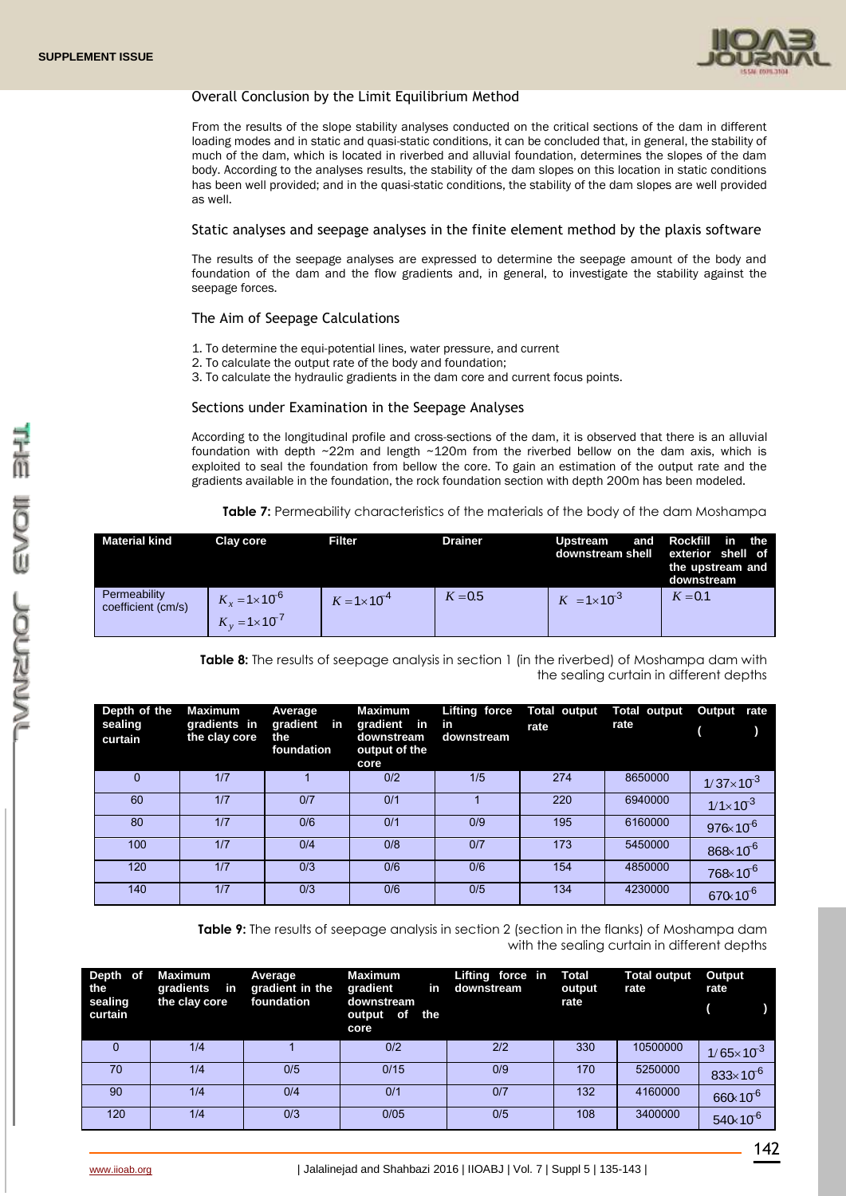

# Overall Conclusion by the Limit Equilibrium Method

From the results of the slope stability analyses conducted on the critical sections of the dam in different loading modes and in static and quasi-static conditions, it can be concluded that, in general, the stability of much of the dam, which is located in riverbed and alluvial foundation, determines the slopes of the dam body. According to the analyses results, the stability of the dam slopes on this location in static conditions has been well provided; and in the quasi-static conditions, the stability of the dam slopes are well provided as well.

### Static analyses and seepage analyses in the finite element method by the plaxis software

The results of the seepage analyses are expressed to determine the seepage amount of the body and foundation of the dam and the flow gradients and, in general, to investigate the stability against the seepage forces.

## The Aim of Seepage Calculations

- 1. To determine the equi-potential lines, water pressure, and current
- 2. To calculate the output rate of the body and foundation;
- 3. To calculate the hydraulic gradients in the dam core and current focus points.

#### Sections under Examination in the Seepage Analyses

According to the longitudinal profile and cross-sections of the dam, it is observed that there is an alluvial foundation with depth ~22m and length ~120m from the riverbed bellow on the dam axis, which is exploited to seal the foundation from bellow the core. To gain an estimation of the output rate and the gradients available in the foundation, the rock foundation section with depth 200m has been modeled.

**Table 7:** Permeability characteristics of the materials of the body of the dam Moshampa

| <b>Material kind</b>               | Clay core                                            | <b>Filter</b>          | <b>Drainer</b> | <b>Upstream</b><br>downstream shell | and Rockfill in the<br>exterior shell of<br>the upstream and<br>downstream |
|------------------------------------|------------------------------------------------------|------------------------|----------------|-------------------------------------|----------------------------------------------------------------------------|
| Permeability<br>coefficient (cm/s) | $K_r = 1 \times 10^{-6}$<br>$K_v = 1 \times 10^{-7}$ | $K = 1 \times 10^{-4}$ | $K = 0.5$      | $K = 1 \times 10^{-3}$              | $K = 0.1$                                                                  |

**Table 8:** The results of seepage analysis in section 1 (in the riverbed) of Moshampa dam with the sealing curtain in different depths

| Depth of the<br>sealing<br>curtain | <b>Maximum</b><br>gradients in<br>the clay core | Average<br>gradient in<br>the<br>foundation | <b>Maximum</b><br>gradient in in<br>downstream<br>output of the<br>core | Lifting force<br>downstream | <b>Total output</b><br>rate | <b>Total output</b><br>rate | Output rate         |
|------------------------------------|-------------------------------------------------|---------------------------------------------|-------------------------------------------------------------------------|-----------------------------|-----------------------------|-----------------------------|---------------------|
| $\Omega$                           | 1/7                                             |                                             | 0/2                                                                     | 1/5                         | 274                         | 8650000                     | $1/37\times10^{3}$  |
| 60                                 | 1/7                                             | 0/7                                         | 0/1                                                                     |                             | 220                         | 6940000                     | $1/1 \times 10^{3}$ |
| 80                                 | 1/7                                             | 0/6                                         | 0/1                                                                     | 0/9                         | 195                         | 6160000                     | $976 \times 10^{6}$ |
| 100                                | 1/7                                             | 0/4                                         | 0/8                                                                     | 0/7                         | 173                         | 5450000                     | $868 \times 10^{6}$ |
| 120                                | 1/7                                             | 0/3                                         | 0/6                                                                     | 0/6                         | 154                         | 4850000                     | $768 \times 10^{6}$ |
| 140                                | 1/7                                             | 0/3                                         | 0/6                                                                     | 0/5                         | 134                         | 4230000                     | $670 \times 10^{6}$ |

**Table 9:** The results of seepage analysis in section 2 (section in the flanks) of Moshampa dam with the sealing curtain in different depths

| Depth of<br>the<br>sealing<br>curtain | <b>Maximum</b><br>gradients in<br>the clay core | Average<br>gradient in the<br>foundation | <b>Maximum</b><br>in<br>gradient<br>downstream<br>the<br>of<br>output<br>core | Lifting force in<br>downstream | Total<br>output<br>rate | <b>Total output</b><br>rate | Output<br>rate       |
|---------------------------------------|-------------------------------------------------|------------------------------------------|-------------------------------------------------------------------------------|--------------------------------|-------------------------|-----------------------------|----------------------|
| $\Omega$                              | 1/4                                             |                                          | 0/2                                                                           | 2/2                            | 330                     | 10500000                    | $1/65 \times 10^{3}$ |
| 70                                    | 1/4                                             | 0/5                                      | 0/15                                                                          | 0/9                            | 170                     | 5250000                     | $833 \times 10^{6}$  |
| 90                                    | 1/4                                             | 0/4                                      | 0/1                                                                           | 0/7                            | 132                     | 4160000                     | 660x10 <sup>6</sup>  |
| 120                                   | 1/4                                             | 0/3                                      | 0/05                                                                          | 0/5                            | 108                     | 3400000                     | $540 \times 10^{-6}$ |

142